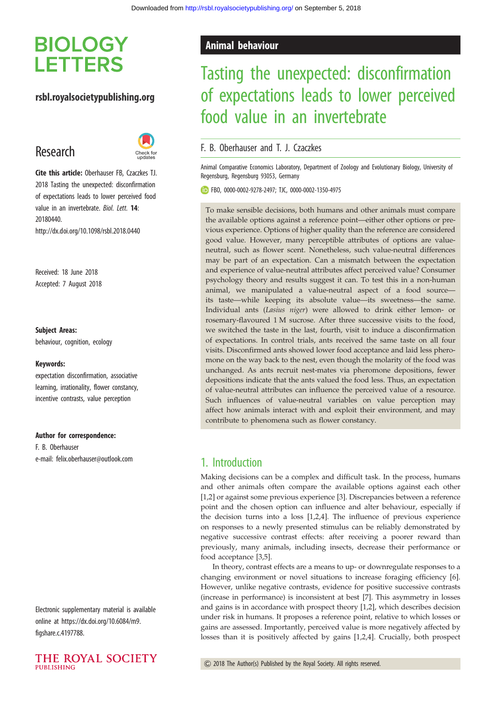# **BIOLOGY LETTERS**

### rsbl.royalsocietypublishing.org

# Research



Cite this article: Oberhauser FB, Czaczkes TJ. 2018 Tasting the unexpected: disconfirmation of expectations leads to lower perceived food value in an invertebrate. Biol. Lett. 14: 20180440. http://dx.doi.org/10.1098/rsbl.2018.0440

Received: 18 June 2018 Accepted: 7 August 2018

#### Subject Areas:

behaviour, cognition, ecology

#### Keywords:

expectation disconfirmation, associative learning, irrationality, flower constancy, incentive contrasts, value perception

### Author for correspondence:

F. B. Oberhauser e-mail: [felix.oberhauser@outlook.com](mailto:felix.oberhauser@outlook.com)

Electronic supplementary material is available online at [https://dx.doi.org/10.6084/m9.](https://dx.doi.org/10.6084/m9.figshare.c.4197788) [figshare.c.4197788](https://dx.doi.org/10.6084/m9.figshare.c.4197788).



### Animal behaviour

# Tasting the unexpected: disconfirmation of expectations leads to lower perceived food value in an invertebrate

### F. B. Oberhauser and T. J. Czaczkes

Animal Comparative Economics Laboratory, Department of Zoology and Evolutionary Biology, University of Regensburg, Regensburg 93053, Germany

FBO, [0000-0002-9278-2497](http://orcid.org/0000-0002-9278-2497); TJC, [0000-0002-1350-4975](http://orcid.org/0000-0002-1350-4975)

To make sensible decisions, both humans and other animals must compare the available options against a reference point—either other options or previous experience. Options of higher quality than the reference are considered good value. However, many perceptible attributes of options are valueneutral, such as flower scent. Nonetheless, such value-neutral differences may be part of an expectation. Can a mismatch between the expectation and experience of value-neutral attributes affect perceived value? Consumer psychology theory and results suggest it can. To test this in a non-human animal, we manipulated a value-neutral aspect of a food source its taste—while keeping its absolute value—its sweetness—the same. Individual ants (Lasius niger) were allowed to drink either lemon- or rosemary-flavoured 1 M sucrose. After three successive visits to the food, we switched the taste in the last, fourth, visit to induce a disconfirmation of expectations. In control trials, ants received the same taste on all four visits. Disconfirmed ants showed lower food acceptance and laid less pheromone on the way back to the nest, even though the molarity of the food was unchanged. As ants recruit nest-mates via pheromone depositions, fewer depositions indicate that the ants valued the food less. Thus, an expectation of value-neutral attributes can influence the perceived value of a resource. Such influences of value-neutral variables on value perception may affect how animals interact with and exploit their environment, and may contribute to phenomena such as flower constancy.

### 1. Introduction

Making decisions can be a complex and difficult task. In the process, humans and other animals often compare the available options against each other [[1](#page-3-0),[2](#page-3-0)] or against some previous experience [\[3\]](#page-3-0). Discrepancies between a reference point and the chosen option can influence and alter behaviour, especially if the decision turns into a loss [[1](#page-3-0),[2,4\]](#page-3-0). The influence of previous experience on responses to a newly presented stimulus can be reliably demonstrated by negative successive contrast effects: after receiving a poorer reward than previously, many animals, including insects, decrease their performance or food acceptance [\[3,5\]](#page-3-0).

In theory, contrast effects are a means to up- or downregulate responses to a changing environment or novel situations to increase foraging efficiency [\[6\]](#page-3-0). However, unlike negative contrasts, evidence for positive successive contrasts (increase in performance) is inconsistent at best [\[7\]](#page-3-0). This asymmetry in losses and gains is in accordance with prospect theory [[1,2\]](#page-3-0), which describes decision under risk in humans. It proposes a reference point, relative to which losses or gains are assessed. Importantly, perceived value is more negatively affected by losses than it is positively affected by gains [[1](#page-3-0),[2,4\]](#page-3-0). Crucially, both prospect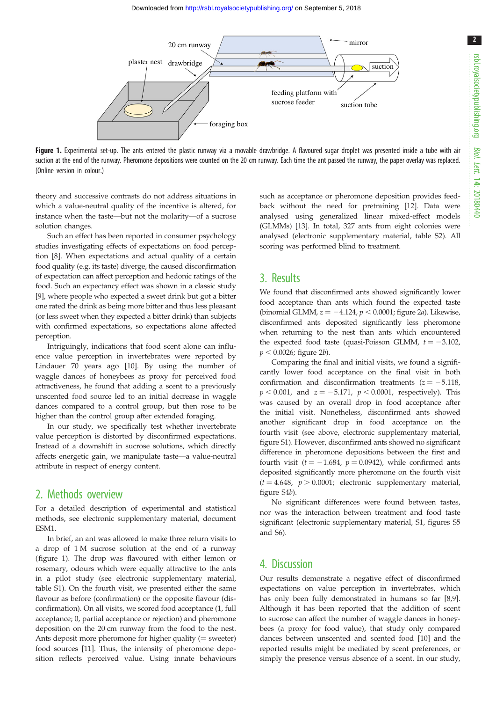2



Figure 1. Experimental set-up. The ants entered the plastic runway via a movable drawbridge. A flavoured sugar droplet was presented inside a tube with air suction at the end of the runway. Pheromone depositions were counted on the 20 cm runway. Each time the ant passed the runway, the paper overlay was replaced. (Online version in colour.)

theory and successive contrasts do not address situations in which a value-neutral quality of the incentive is altered, for instance when the taste—but not the molarity—of a sucrose solution changes.

Such an effect has been reported in consumer psychology studies investigating effects of expectations on food perception [\[8\]](#page-3-0). When expectations and actual quality of a certain food quality (e.g. its taste) diverge, the caused disconfirmation of expectation can affect perception and hedonic ratings of the food. Such an expectancy effect was shown in a classic study [\[9\]](#page-3-0), where people who expected a sweet drink but got a bitter one rated the drink as being more bitter and thus less pleasant (or less sweet when they expected a bitter drink) than subjects with confirmed expectations, so expectations alone affected perception.

Intriguingly, indications that food scent alone can influence value perception in invertebrates were reported by Lindauer 70 years ago [[10\]](#page-3-0). By using the number of waggle dances of honeybees as proxy for perceived food attractiveness, he found that adding a scent to a previously unscented food source led to an initial decrease in waggle dances compared to a control group, but then rose to be higher than the control group after extended foraging.

In our study, we specifically test whether invertebrate value perception is distorted by disconfirmed expectations. Instead of a downshift in sucrose solutions, which directly affects energetic gain, we manipulate taste—a value-neutral attribute in respect of energy content.

### 2. Methods overview

For a detailed description of experimental and statistical methods, see electronic supplementary material, document ESM1.

In brief, an ant was allowed to make three return visits to a drop of 1 M sucrose solution at the end of a runway (figure 1). The drop was flavoured with either lemon or rosemary, odours which were equally attractive to the ants in a pilot study (see electronic supplementary material, table S1). On the fourth visit, we presented either the same flavour as before (confirmation) or the opposite flavour (disconfirmation). On all visits, we scored food acceptance (1, full acceptance; 0, partial acceptance or rejection) and pheromone deposition on the 20 cm runway from the food to the nest. Ants deposit more pheromone for higher quality  $($  = sweeter) food sources [[11\]](#page-3-0). Thus, the intensity of pheromone deposition reflects perceived value. Using innate behaviours such as acceptance or pheromone deposition provides feedback without the need for pretraining [\[12](#page-3-0)]. Data were analysed using generalized linear mixed-effect models (GLMMs) [[13\]](#page-3-0). In total, 327 ants from eight colonies were analysed (electronic supplementary material, table S2). All scoring was performed blind to treatment.

### 3. Results

We found that disconfirmed ants showed significantly lower food acceptance than ants which found the expected taste (binomial GLMM,  $z = -4.124$ ,  $p < 0.0001$ ; [figure 2](#page-2-0)a). Likewise, disconfirmed ants deposited significantly less pheromone when returning to the nest than ants which encountered the expected food taste (quasi-Poisson GLMM,  $t = -3.102$ ,  $p < 0.0026$ ; [figure 2](#page-2-0)b).

Comparing the final and initial visits, we found a significantly lower food acceptance on the final visit in both confirmation and disconfirmation treatments  $(z = -5.118,$  $p < 0.001$ , and  $z = -5.171$ ,  $p < 0.0001$ , respectively). This was caused by an overall drop in food acceptance after the initial visit. Nonetheless, disconfirmed ants showed another significant drop in food acceptance on the fourth visit (see above, electronic supplementary material, figure S1). However, disconfirmed ants showed no significant difference in pheromone depositions between the first and fourth visit ( $t = -1.684$ ,  $p = 0.0942$ ), while confirmed ants deposited significantly more pheromone on the fourth visit  $(t = 4.648, p > 0.0001;$  electronic supplementary material, figure S4b).

No significant differences were found between tastes, nor was the interaction between treatment and food taste significant (electronic supplementary material, S1, figures S5 and S6).

### 4. Discussion

Our results demonstrate a negative effect of disconfirmed expectations on value perception in invertebrates, which has only been fully demonstrated in humans so far [\[8,9\]](#page-3-0). Although it has been reported that the addition of scent to sucrose can affect the number of waggle dances in honeybees (a proxy for food value), that study only compared dances between unscented and scented food [[10](#page-3-0)] and the reported results might be mediated by scent preferences, or simply the presence versus absence of a scent. In our study,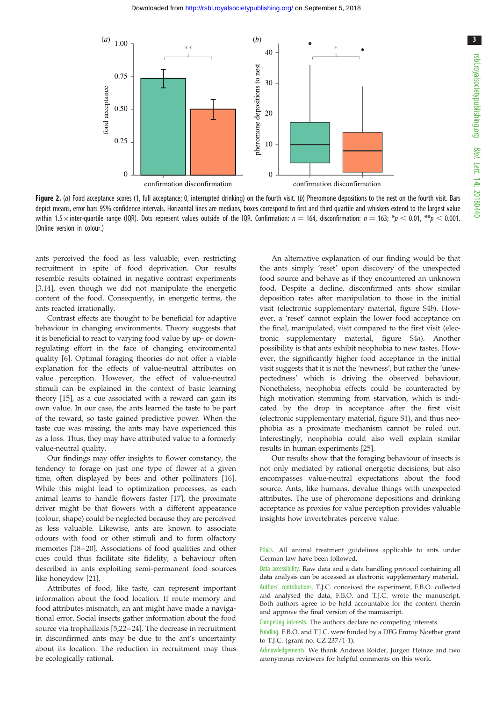<span id="page-2-0"></span>

Figure 2. (a) Food acceptance scores (1, full acceptance; 0, interrupted drinking) on the fourth visit. (b) Pheromone depositions to the nest on the fourth visit. Bars depict means, error bars 95% confidence intervals. Horizontal lines are medians, boxes correspond to first and third quartile and whiskers extend to the largest value within 1.5 $\times$ inter-quartile range (IQR). Dots represent values outside of the IQR. Confirmation:  $n=$  164, disconfirmation:  $n=$  163;  $^*p$   $<$  0.01,  $^{**}p$   $<$  0.001. (Online version in colour.)

ants perceived the food as less valuable, even restricting recruitment in spite of food deprivation. Our results resemble results obtained in negative contrast experiments [\[3,14](#page-3-0)], even though we did not manipulate the energetic content of the food. Consequently, in energetic terms, the ants reacted irrationally.

Contrast effects are thought to be beneficial for adaptive behaviour in changing environments. Theory suggests that it is beneficial to react to varying food value by up- or downregulating effort in the face of changing environmental quality [[6](#page-3-0)]. Optimal foraging theories do not offer a viable explanation for the effects of value-neutral attributes on value perception. However, the effect of value-neutral stimuli can be explained in the context of basic learning theory [[15\]](#page-3-0), as a cue associated with a reward can gain its own value. In our case, the ants learned the taste to be part of the reward, so taste gained predictive power. When the taste cue was missing, the ants may have experienced this as a loss. Thus, they may have attributed value to a formerly value-neutral quality.

Our findings may offer insights to flower constancy, the tendency to forage on just one type of flower at a given time, often displayed by bees and other pollinators [\[16](#page-3-0)]. While this might lead to optimization processes, as each animal learns to handle flowers faster [\[17](#page-3-0)], the proximate driver might be that flowers with a different appearance (colour, shape) could be neglected because they are perceived as less valuable. Likewise, ants are known to associate odours with food or other stimuli and to form olfactory memories [[18](#page-3-0)-[20](#page-3-0)]. Associations of food qualities and other cues could thus facilitate site fidelity, a behaviour often described in ants exploiting semi-permanent food sources like honeydew [[21\]](#page-3-0).

Attributes of food, like taste, can represent important information about the food location. If route memory and food attributes mismatch, an ant might have made a navigational error. Social insects gather information about the food source via trophallaxis [\[5,22](#page-3-0)–[24](#page-3-0)]. The decrease in recruitment in disconfirmed ants may be due to the ant's uncertainty about its location. The reduction in recruitment may thus be ecologically rational.

An alternative explanation of our finding would be that the ants simply 'reset' upon discovery of the unexpected food source and behave as if they encountered an unknown food. Despite a decline, disconfirmed ants show similar deposition rates after manipulation to those in the initial visit (electronic supplementary material, figure S4b). However, a 'reset' cannot explain the lower food acceptance on the final, manipulated, visit compared to the first visit (electronic supplementary material, figure S4a). Another possibility is that ants exhibit neophobia to new tastes. However, the significantly higher food acceptance in the initial visit suggests that it is not the 'newness', but rather the 'unexpectedness' which is driving the observed behaviour. Nonetheless, neophobia effects could be counteracted by high motivation stemming from starvation, which is indicated by the drop in acceptance after the first visit (electronic supplementary material, figure S1), and thus neophobia as a proximate mechanism cannot be ruled out. Interestingly, neophobia could also well explain similar results in human experiments [\[25](#page-3-0)].

Our results show that the foraging behaviour of insects is not only mediated by rational energetic decisions, but also encompasses value-neutral expectations about the food source. Ants, like humans, devalue things with unexpected attributes. The use of pheromone depositions and drinking acceptance as proxies for value perception provides valuable insights how invertebrates perceive value.

Ethics. All animal treatment guidelines applicable to ants under German law have been followed.

Data accessibility. Raw data and a data handling protocol containing all data analysis can be accessed as electronic supplementary material.

Authors' contributions. T.J.C. conceived the experiment, F.B.O. collected and analysed the data, F.B.O. and T.J.C. wrote the manuscript. Both authors agree to be held accountable for the content therein and approve the final version of the manuscript.

Competing interests. The authors declare no competing interests.

Funding. F.B.O. and T.J.C. were funded by a DFG Emmy Noether grant to T.J.C. (grant no. CZ 237/1-1).

Acknowledgements. We thank Andreas Roider, Jürgen Heinze and two anonymous reviewers for helpful comments on this work.